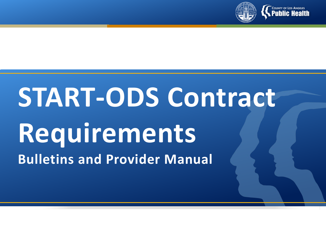

# **START-ODS Contract Requirements Bulletins and Provider Manual**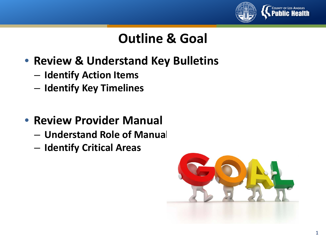

# **Outline & Goal**

- **Review & Understand Key Bulletins**
	- **Identify Action Items**
	- **Identify Key Timelines**
- **Review Provider Manual**
	- **Understand Role of Manual**
	- **Identify Critical Areas**

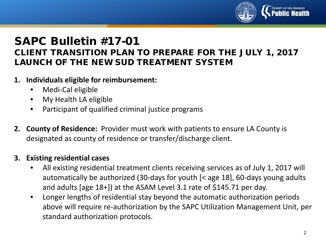

#### SAPC Bulletin #17-01 CLIENT TRANSITION PLAN TO PREPARE FOR THE JULY 1, 2017 LAUNCH OF THE NEW SUD TREATMENT SYSTEM

#### **1. Individuals eligible for reimbursement:**

- Medi-Cal eligible
- My Health LA eligible
- Participant of qualified criminal justice programs
- **2. County of Residence:** Provider must work with patients to ensure LA County is designated as county of residence or transfer/discharge client.

#### **3. Existing residential cases**

- All existing residential treatment clients receiving services as of July 1, 2017 will automatically be authorized (30-days for youth [< age 18], 60-days young adults and adults [age 18+]) at the ASAM Level 3.1 rate of \$145.71 per day.
- Longer lengths of residential stay beyond the automatic authorization periods above will require re-authorization by the SAPC Utilization Management Unit, per standard authorization protocols.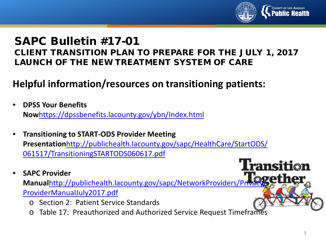

**Transition** 

#### SAPC Bulletin #17-01 CLIENT TRANSITION PLAN TO PREPARE FOR THE JULY 1, 2017 LAUNCH OF THE NEW TREATMENT SYSTEM OF CARE

## **Helpful information/resources on transitioning patients:**

- **DPSS Your Benefits Now**<https://dpssbenefits.lacounty.gov/ybn/Index.html>
- **Transitioning to START-ODS Provider Meeting Presentation**[http://publichealth.lacounty.gov/sapc/HealthCare/StartODS/](http://publichealth.lacounty.gov/sapc/HealthCare/StartODS/061517/TransitioningSTARTODS060617.pdf) 061517/TransitioningSTARTODS060617.pdf
- **SAPC Provider**

Manualhttp://publichealth.lacounty.gov/sapc/NetworkProviders/Priva ProviderManualJuly2017.pdf

- o Section 2: Patient Service Standards
- o Table 17: Preauthorized and Authorized Service Request Timeframes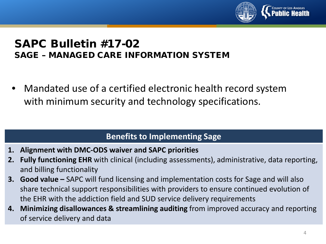

#### SAPC Bulletin #17-02 SAGE – MANAGED CARE INFORMATION SYSTEM

• Mandated use of a certified electronic health record system with minimum security and technology specifications.

#### **Benefits to Implementing Sage**

- **1. Alignment with DMC-ODS waiver and SAPC priorities**
- **2. Fully functioning EHR** with clinical (including assessments), administrative, data reporting, and billing functionality
- **3. Good value –** SAPC will fund licensing and implementation costs for Sage and will also share technical support responsibilities with providers to ensure continued evolution of the EHR with the addiction field and SUD service delivery requirements
- **4. Minimizing disallowances & streamlining auditing** from improved accuracy and reporting of service delivery and data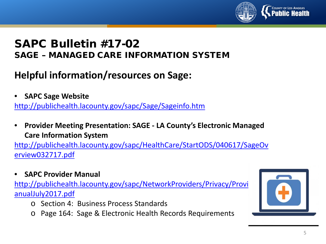

#### SAPC Bulletin #17-02 SAGE – MANAGED CARE INFORMATION SYSTEM

## **Helpful information/resources on Sage:**

• **SAPC Sage Website**

<http://publichealth.lacounty.gov/sapc/Sage/Sageinfo.htm>

• **Provider Meeting Presentation: SAGE - LA County's Electronic Managed Care Information System**

[http://publichealth.lacounty.gov/sapc/HealthCare/StartODS/040617/SageOv](http://publichealth.lacounty.gov/sapc/HealthCare/StartODS/040617/SageOverview032717.pdf) erview032717.pdf

• **SAPC Provider Manual**

http://publichealth.lacounty.gov/sapc/NetworkProviders/Privacy/Provi anualJuly2017.pdf

- o Section 4: Business Process Standards
- o Page 164: Sage & Electronic Health Records Requirements

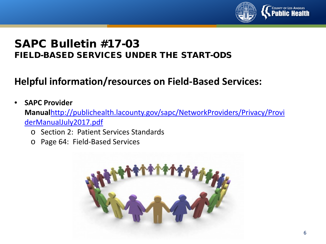

#### SAPC Bulletin #17-03 FIELD-BASED SERVICES UNDER THE START-ODS

## **Helpful information/resources on Field-Based Services:**

#### • **SAPC Provider Manual**[http://publichealth.lacounty.gov/sapc/NetworkProviders/Privacy/Provi](http://publichealth.lacounty.gov/sapc/NetworkProviders/Privacy/ProviderManualJuly2017.pdf) derManualJuly2017.pdf

- o Section 2: Patient Services Standards
- o Page 64: Field-Based Services

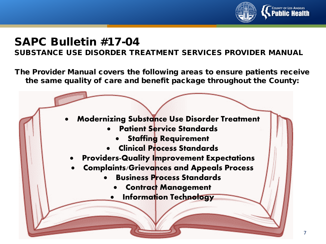

#### SUBSTANCE USE DISORDER TREATMENT SERVICES PROVIDER MANUAL

The Provider Manual covers the following areas to ensure patients receive the same quality of care and benefit package throughout the County:

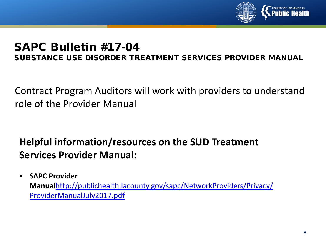

SUBSTANCE USE DISORDER TREATMENT SERVICES PROVIDER MANUAL

Contract Program Auditors will work with providers to understand role of the Provider Manual

# **Helpful information/resources on the SUD Treatment Services Provider Manual:**

• **SAPC Provider Manual**[http://publichealth.lacounty.gov/sapc/NetworkProviders/Privacy/](http://publichealth.lacounty.gov/sapc/NetworkProviders/Privacy/ProviderManualJuly2017.pdf) ProviderManualJuly2017.pdf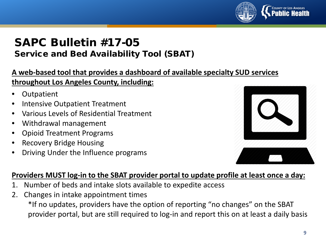

#### SAPC Bulletin #17-05 Service and Bed Availability Tool (SBAT)

#### **A web-based tool that provides a dashboard of available specialty SUD services throughout Los Angeles County, including:**

- **Outpatient**
- Intensive Outpatient Treatment
- Various Levels of Residential Treatment
- Withdrawal management
- Opioid Treatment Programs
- Recovery Bridge Housing
- Driving Under the Influence programs



#### **Providers MUST log-in to the SBAT provider portal to update profile at least once a day:**

- 1. Number of beds and intake slots available to expedite access
- 2. Changes in intake appointment times

\*If no updates, providers have the option of reporting "no changes" on the SBAT provider portal, but are still required to log-in and report this on at least a daily basis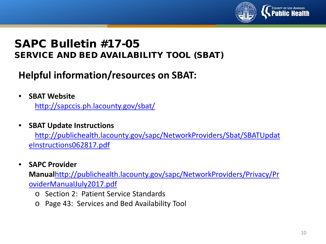

#### SAPC Bulletin #17-05 SERVICE AND BED AVAILABILITY TOOL (SBAT)

## **Helpful information/resources on SBAT:**

• **SBAT Website**

<http://sapccis.ph.lacounty.gov/sbat/>

• **SBAT Update Instructions**

[http://publichealth.lacounty.gov/sapc/NetworkProviders/Sbat/SBATUpdat](http://publichealth.lacounty.gov/sapc/NetworkProviders/Sbat/SBATUpdateInstructions062817.pdf) eInstructions062817.pdf

• **SAPC Provider** 

**Manual**[http://publichealth.lacounty.gov/sapc/NetworkProviders/Privacy/Pr](http://publichealth.lacounty.gov/sapc/NetworkProviders/Privacy/ProviderManualJuly2017.pdf) oviderManualJuly2017.pdf

- o Section 2: Patient Service Standards
- o Page 43: Services and Bed Availability Tool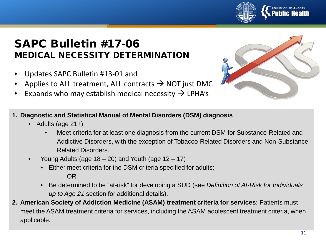

#### SAPC Bulletin #17-06 MEDICAL NECESSITY DETERMINATION

- Updates SAPC Bulletin #13-01 and
- Applies to ALL treatment, ALL contracts  $\rightarrow$  NOT just DMC
- Expands who may establish medical necessity  $\rightarrow$  LPHA's



- **1. Diagnostic and Statistical Manual of Mental Disorders (DSM) diagnosis**
	- Adults (age 21+)
		- Meet criteria for at least one diagnosis from the current DSM for Substance-Related and Addictive Disorders, with the exception of Tobacco-Related Disorders and Non-Substance-Related Disorders.
	- Young Adults (age  $18 20$ ) and Youth (age  $12 17$ )
		- Either meet criteria for the DSM criteria specified for adults; OR
		- Be determined to be "at-risk" for developing a SUD (see *Definition of At-Risk for Individuals up to Age 21* section for additional details).
- **2. American Society of Addiction Medicine (ASAM) treatment criteria for services:** Patients must meet the ASAM treatment criteria for services, including the ASAM adolescent treatment criteria, when applicable.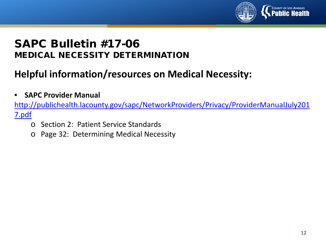

#### SAPC Bulletin #17-06 MEDICAL NECESSITY DETERMINATION

# **Helpful information/resources on Medical Necessity:**

• **SAPC Provider Manual**

[http://publichealth.lacounty.gov/sapc/NetworkProviders/Privacy/ProviderManualJuly201](http://publichealth.lacounty.gov/sapc/NetworkProviders/Privacy/ProviderManualJuly2017.pdf) 7.pdf

- o Section 2: Patient Service Standards
- o Page 32: Determining Medical Necessity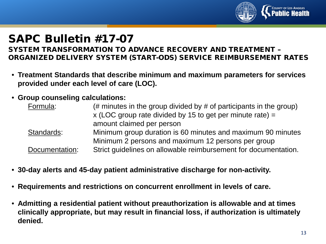

SYSTEM TRANSFORMATION TO ADVANCE RECOVERY AND TREATMENT – ORGANIZED DELIVERY SYSTEM (START-ODS) SERVICE REIMBURSEMENT RATES

- **Treatment Standards that describe minimum and maximum parameters for services provided under each level of care (LOC).**
- **Group counseling calculations:**

| Formula:       | (# minutes in the group divided by $#$ of participants in the group)<br>x (LOC group rate divided by 15 to get per minute rate) $=$ |
|----------------|-------------------------------------------------------------------------------------------------------------------------------------|
|                | amount claimed per person                                                                                                           |
| Standards:     | Minimum group duration is 60 minutes and maximum 90 minutes                                                                         |
|                | Minimum 2 persons and maximum 12 persons per group                                                                                  |
| Documentation: | Strict guidelines on allowable reimbursement for documentation.                                                                     |

- **30-day alerts and 45-day patient administrative discharge for non-activity.**
- **Requirements and restrictions on concurrent enrollment in levels of care.**
- **Admitting a residential patient without preauthorization is allowable and at times clinically appropriate, but may result in financial loss, if authorization is ultimately denied.**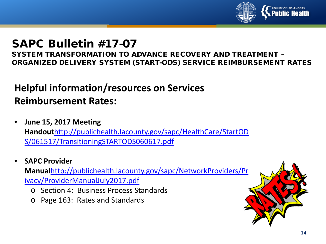

SYSTEM TRANSFORMATION TO ADVANCE RECOVERY AND TREATMENT – ORGANIZED DELIVERY SYSTEM (START-ODS) SERVICE REIMBURSEMENT RATES

# **Helpful information/resources on Services Reimbursement Rates:**

- **June 15, 2017 Meeting Handout**[http://publichealth.lacounty.gov/sapc/HealthCare/StartOD](http://publichealth.lacounty.gov/sapc/HealthCare/StartODS/061517/TransitioningSTARTODS060617.pdf) S/061517/TransitioningSTARTODS060617.pdf
- **SAPC Provider Manual**[http://publichealth.lacounty.gov/sapc/NetworkProviders/Pr](http://publichealth.lacounty.gov/sapc/NetworkProviders/Privacy/ProviderManualJuly2017.pdf) ivacy/ProviderManualJuly2017.pdf
	- o Section 4: Business Process Standards
	- o Page 163: Rates and Standards

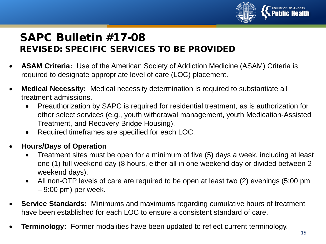

#### SAPC Bulletin #17-08 REVISED: SPECIFIC SERVICES TO BE PROVIDED

- **ASAM Criteria:** Use of the American Society of Addiction Medicine (ASAM) Criteria is required to designate appropriate level of care (LOC) placement.
- **Medical Necessity:** Medical necessity determination is required to substantiate all treatment admissions.
	- Preauthorization by SAPC is required for residential treatment, as is authorization for other select services (e.g., youth withdrawal management, youth Medication-Assisted Treatment, and Recovery Bridge Housing).
	- Required timeframes are specified for each LOC.
- **Hours/Days of Operation**
	- Treatment sites must be open for a minimum of five (5) days a week, including at least one (1) full weekend day (8 hours, either all in one weekend day or divided between 2 weekend days).
	- All non-OTP levels of care are required to be open at least two (2) evenings (5:00 pm – 9:00 pm) per week.
- **Service Standards:** Minimums and maximums regarding cumulative hours of treatment have been established for each LOC to ensure a consistent standard of care.
- **Terminology:** Former modalities have been updated to reflect current terminology.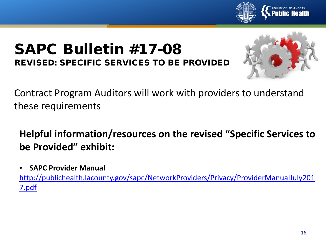

# SAPC Bulletin #17-08 REVISED: SPECIFIC SERVICES TO BE PROVIDED



Contract Program Auditors will work with providers to understand these requirements

# **Helpful information/resources on the revised "Specific Services to be Provided" exhibit:**

• **SAPC Provider Manual**

[http://publichealth.lacounty.gov/sapc/NetworkProviders/Privacy/ProviderManualJuly201](http://publichealth.lacounty.gov/sapc/NetworkProviders/Privacy/ProviderManualJuly2017.pdf) 7.pdf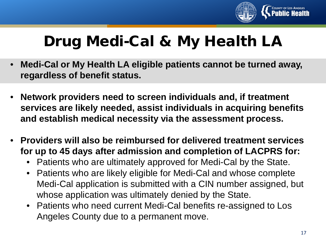

# Drug Medi-Cal & My Health LA

- **Medi-Cal or My Health LA eligible patients cannot be turned away, regardless of benefit status.**
- **Network providers need to screen individuals and, if treatment services are likely needed, assist individuals in acquiring benefits and establish medical necessity via the assessment process.**
- **Providers will also be reimbursed for delivered treatment services for up to 45 days after admission and completion of LACPRS for:**
	- Patients who are ultimately approved for Medi-Cal by the State.
	- Patients who are likely eligible for Medi-Cal and whose complete Medi-Cal application is submitted with a CIN number assigned, but whose application was ultimately denied by the State.
	- Patients who need current Medi-Cal benefits re-assigned to Los Angeles County due to a permanent move.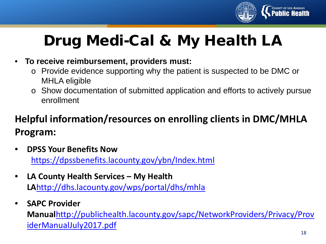

# Drug Medi-Cal & My Health LA

#### • **To receive reimbursement, providers must:**

- o Provide evidence supporting why the patient is suspected to be DMC or MHLA eligible
- o Show documentation of submitted application and efforts to actively pursue enrollment

# **Helpful information/resources on enrolling clients in DMC/MHLA Program:**

- **DPSS Your Benefits Now** <https://dpssbenefits.lacounty.gov/ybn/Index.html>
- **LA County Health Services – My Health LA**<http://dhs.lacounty.gov/wps/portal/dhs/mhla>
- **SAPC Provider**

**Manual**[http://publichealth.lacounty.gov/sapc/NetworkProviders/Privacy/Prov](http://publichealth.lacounty.gov/sapc/NetworkProviders/Privacy/ProviderManualJuly2017.pdf) iderManualJuly2017.pdf